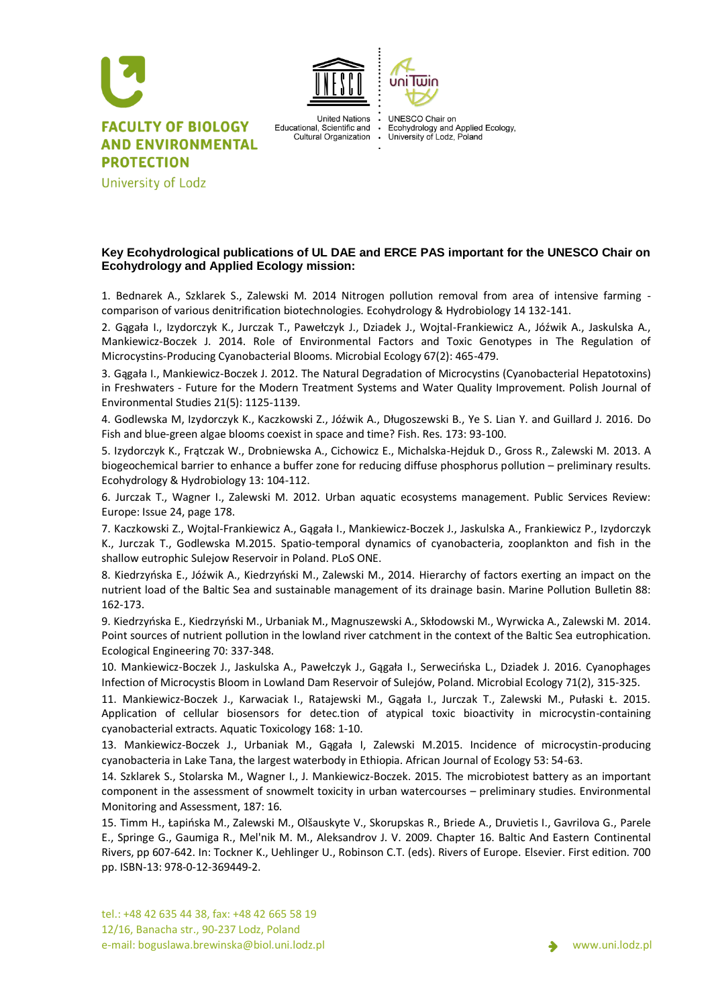



University of Lodz

**United Nations** Educational, Scientific and Cultural Organization **UNESCO Chair on** Ecohydrology and Applied Ecology, University of Lodz, Poland

uni Twin

**Key Ecohydrological publications of UL DAE and ERCE PAS important for the UNESCO Chair on Ecohydrology and Applied Ecology mission:**

1. Bednarek A., Szklarek S., Zalewski M. 2014 Nitrogen pollution removal from area of intensive farming comparison of various denitrification biotechnologies. Ecohydrology & Hydrobiology 14 132-141.

2. Gągała I., Izydorczyk K., Jurczak T., Pawełczyk J., Dziadek J., Wojtal-Frankiewicz A., Jóźwik A., Jaskulska A., Mankiewicz-Boczek J. 2014. Role of Environmental Factors and Toxic Genotypes in The Regulation of Microcystins-Producing Cyanobacterial Blooms. Microbial Ecology 67(2): 465-479.

3. Gągała I., Mankiewicz-Boczek J. 2012. The Natural Degradation of Microcystins (Cyanobacterial Hepatotoxins) in Freshwaters - Future for the Modern Treatment Systems and Water Quality Improvement. Polish Journal of Environmental Studies 21(5): 1125-1139.

4. Godlewska M, Izydorczyk K., Kaczkowski Z., Jóźwik A., Długoszewski B., Ye S. Lian Y. and Guillard J. 2016. Do Fish and blue-green algae blooms coexist in space and time? Fish. Res. 173: 93-100.

5. Izydorczyk K., Frątczak W., Drobniewska A., Cichowicz E., Michalska-Hejduk D., Gross R., Zalewski M. 2013. A biogeochemical barrier to enhance a buffer zone for reducing diffuse phosphorus pollution – preliminary results. Ecohydrology & Hydrobiology 13: 104-112.

6. Jurczak T., Wagner I., Zalewski M. 2012. Urban aquatic ecosystems management. Public Services Review: Europe: Issue 24, page 178.

7. Kaczkowski Z., Wojtal-Frankiewicz A., Gągała I., Mankiewicz-Boczek J., Jaskulska A., Frankiewicz P., Izydorczyk K., Jurczak T., Godlewska M.2015. Spatio-temporal dynamics of cyanobacteria, zooplankton and fish in the shallow eutrophic Sulejow Reservoir in Poland. PLoS ONE.

8. Kiedrzyńska E., Jóźwik A., Kiedrzyński M., Zalewski M., 2014. Hierarchy of factors exerting an impact on the nutrient load of the Baltic Sea and sustainable management of its drainage basin. Marine Pollution Bulletin 88: 162-173.

9. Kiedrzyńska E., Kiedrzyński M., Urbaniak M., Magnuszewski A., Skłodowski M., Wyrwicka A., Zalewski M. 2014. Point sources of nutrient pollution in the lowland river catchment in the context of the Baltic Sea eutrophication. Ecological Engineering 70: 337-348.

10. Mankiewicz-Boczek J., Jaskulska A., Pawełczyk J., Gągała I., Serwecińska L., Dziadek J. 2016. Cyanophages Infection of Microcystis Bloom in Lowland Dam Reservoir of Sulejów, Poland. Microbial Ecology 71(2), 315-325.

11. Mankiewicz-Boczek J., Karwaciak I., Ratajewski M., Gągała I., Jurczak T., Zalewski M., Pułaski Ł. 2015. Application of cellular biosensors for detec.tion of atypical toxic bioactivity in microcystin-containing cyanobacterial extracts. Aquatic Toxicology 168: 1-10.

13. Mankiewicz-Boczek J., Urbaniak M., Gągała I, Zalewski M.2015. Incidence of microcystin-producing cyanobacteria in Lake Tana, the largest waterbody in Ethiopia. African Journal of Ecology 53: 54-63.

14. Szklarek S., Stolarska M., Wagner I., J. Mankiewicz-Boczek. 2015. The microbiotest battery as an important component in the assessment of snowmelt toxicity in urban watercourses – preliminary studies. Environmental Monitoring and Assessment, 187: 16.

15. Timm H., Łapińska M., Zalewski M., Olšauskyte V., Skorupskas R., Briede A., Druvietis I., Gavrilova G., Parele E., Springe G., Gaumiga R., Mel'nik M. M., Aleksandrov J. V. 2009. Chapter 16. Baltic And Eastern Continental Rivers, pp 607-642. In: Tockner K., Uehlinger U., Robinson C.T. (eds). Rivers of Europe. Elsevier. First edition. 700 pp. ISBN-13: 978-0-12-369449-2.